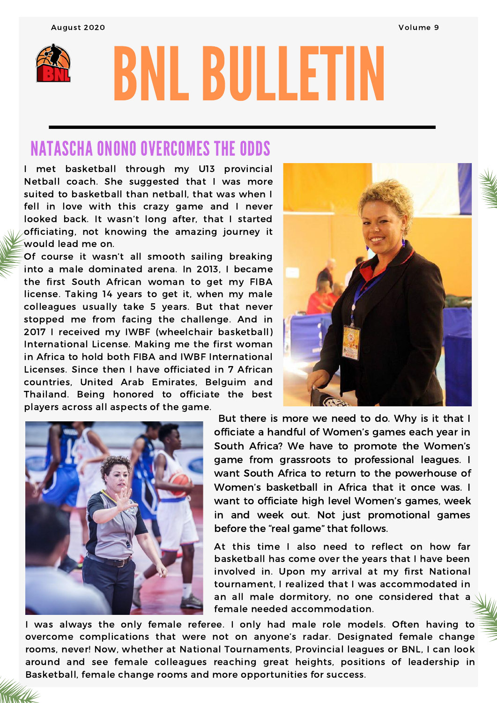August 2020 Volume 9



# BNLBULLETIN

# NATASCHA ONONO OVERCOMES THE ODDS

I met basketball through my U13 provincial Netball coach. She suggested that I was more suited to basketball than netball, that was when I fell in love with this crazy game and I never looked back. It wasn't long after, that I started officiating, not knowing the amazing journey it would lead me on.

Of course it wasn't all smooth sailing breaking into a male dominated arena. In 2013, I became the first South African woman to get my FIBA license. Taking 14 years to get it, when my male colleagues usually take 5 years. But that never stopped me from facing the challenge. And in 2017 I received my IWBF (wheelchair basketball) International License. Making me the first woman in Africa to hold both FIBA and IWBF International Licenses. Since then I have officiated in 7 African countries, United Arab Emirates, Belguim and Thailand. Being honored to officiate the best players across all aspects of the game.





But there is more we need to do. Why is it that I officiate a handful of Women's games each year in South Africa? We have to promote the Women's game from grassroots to professional leagues. I want South Africa to return to the powerhouse of Women's basketball in Africa that it once was. I want to officiate high level Women's games, week in and week out. Not just promotional games before the "real game" that follows.

At this time I also need to reflect on how far basketball has come over the years that I have been involved in. Upon my arrival at my first National tournament, I realized that I was accommodated in an all male dormitory, no one considered that a female needed accommodation.

I was always the only female referee. I only had male role models. Often having to overcome complications that were not on anyone's radar. Designated female change rooms, never! Now, whether at National Tournaments, Provincial leagues or BNL, I can look around and see female colleagues reaching great heights, positions of leadership in Basketball, female change rooms and more opportunities for success.